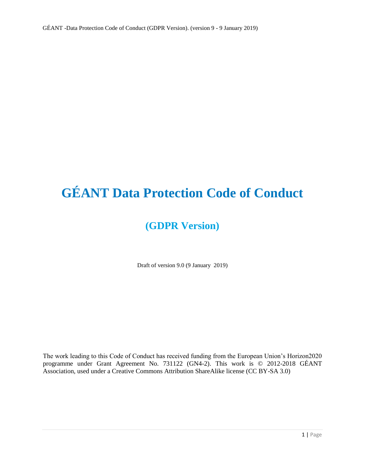# **GÉANT Data Protection Code of Conduct**

# **(GDPR Version)**

Draft of version 9.0 (9 January 2019)

The work leading to this Code of Conduct has received funding from the European Union's Horizon2020 programme under Grant Agreement No. 731122 (GN4-2). This work is © 2012-2018 GÉANT Association, used under a Creative Commons Attribution ShareAlike license (CC BY-SA 3.0)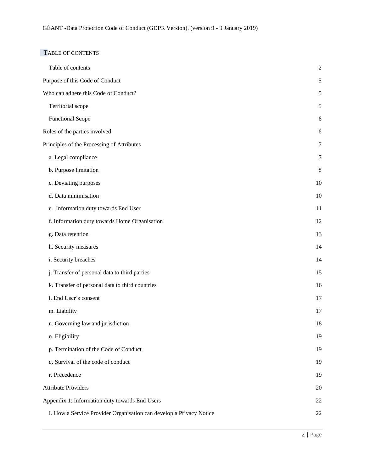# TABLE OF CONTENTS

| Table of contents                                                   | $\sqrt{2}$ |
|---------------------------------------------------------------------|------------|
| Purpose of this Code of Conduct                                     | 5          |
| Who can adhere this Code of Conduct?                                | 5          |
| Territorial scope                                                   | $\sqrt{5}$ |
| <b>Functional Scope</b>                                             | 6          |
| Roles of the parties involved                                       | 6          |
| Principles of the Processing of Attributes                          | 7          |
| a. Legal compliance                                                 | 7          |
| b. Purpose limitation                                               | 8          |
| c. Deviating purposes                                               | $10\,$     |
| d. Data minimisation                                                | 10         |
| e. Information duty towards End User                                | 11         |
| f. Information duty towards Home Organisation                       | 12         |
| g. Data retention                                                   | 13         |
| h. Security measures                                                | 14         |
| i. Security breaches                                                | 14         |
| j. Transfer of personal data to third parties                       | 15         |
| k. Transfer of personal data to third countries                     | 16         |
| 1. End User's consent                                               | 17         |
| m. Liability                                                        | 17         |
| n. Governing law and jurisdiction                                   | 18         |
| o. Eligibility                                                      | 19         |
| p. Termination of the Code of Conduct                               | 19         |
| q. Survival of the code of conduct                                  | 19         |
| r. Precedence                                                       | 19         |
| <b>Attribute Providers</b>                                          | 20         |
| Appendix 1: Information duty towards End Users                      | 22         |
| I. How a Service Provider Organisation can develop a Privacy Notice | 22         |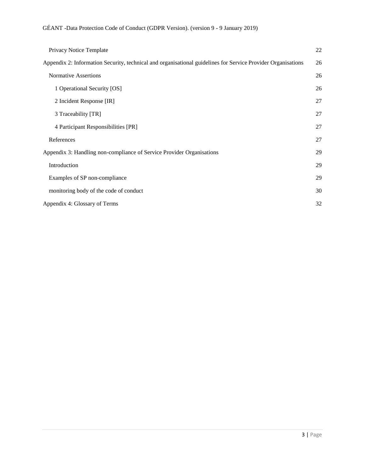| Privacy Notice Template                                                                                      | 22 |
|--------------------------------------------------------------------------------------------------------------|----|
| Appendix 2: Information Security, technical and organisational guidelines for Service Provider Organisations | 26 |
| <b>Normative Assertions</b>                                                                                  | 26 |
| 1 Operational Security [OS]                                                                                  | 26 |
| 2 Incident Response [IR]                                                                                     | 27 |
| 3 Traceability [TR]                                                                                          | 27 |
| 4 Participant Responsibilities [PR]                                                                          | 27 |
| References                                                                                                   | 27 |
| Appendix 3: Handling non-compliance of Service Provider Organisations                                        | 29 |
| Introduction                                                                                                 | 29 |
| Examples of SP non-compliance                                                                                |    |
| monitoring body of the code of conduct                                                                       | 30 |
| Appendix 4: Glossary of Terms                                                                                |    |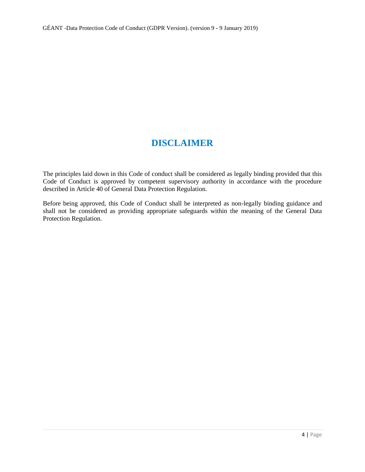# **DISCLAIMER**

The principles laid down in this Code of conduct shall be considered as legally binding provided that this Code of Conduct is approved by competent supervisory authority in accordance with the procedure described in Article 40 of General Data Protection Regulation.

Before being approved, this Code of Conduct shall be interpreted as non-legally binding guidance and shall not be considered as providing appropriate safeguards within the meaning of the General Data Protection Regulation.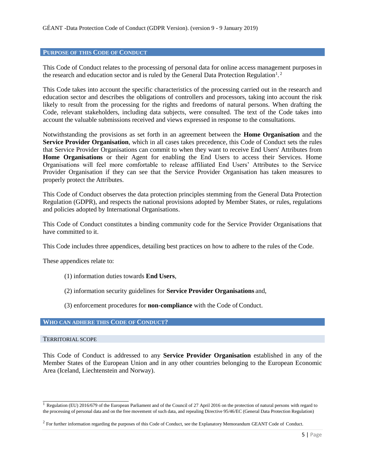#### **PURPOSE OF THIS CODE OF CONDUCT**

This Code of Conduct relates to the processing of personal data for online access management purposesin the research and education sector and is ruled by the General Data Protection Regulation<sup>1</sup>.<sup>2</sup>

This Code takes into account the specific characteristics of the processing carried out in the research and education sector and describes the obligations of controllers and processors, taking into account the risk likely to result from the processing for the rights and freedoms of natural persons. When drafting the Code, relevant stakeholders, including data subjects, were consulted. The text of the Code takes into account the valuable submissions received and views expressed in response to the consultations.

Notwithstanding the provisions as set forth in an agreement between the **Home Organisation** and the **Service Provider Organisation**, which in all cases takes precedence, this Code of Conduct sets the rules that Service Provider Organisations can commit to when they want to receive End Users' Attributes from **Home Organisations** or their Agent for enabling the End Users to access their Services. Home Organisations will feel more comfortable to release affiliated End Users' Attributes to the Service Provider Organisation if they can see that the Service Provider Organisation has taken measures to properly protect the Attributes.

This Code of Conduct observes the data protection principles stemming from the General Data Protection Regulation (GDPR), and respects the national provisions adopted by Member States, or rules, regulations and policies adopted by International Organisations.

This Code of Conduct constitutes a binding community code for the Service Provider Organisations that have committed to it.

This Code includes three appendices, detailing best practices on how to adhere to the rules of the Code.

These appendices relate to:

- (1) information duties towards **End Users**,
- (2) information security guidelines for **Service Provider Organisations** and,
- (3) enforcement procedures for **non-compliance** with the Code of Conduct.

#### **WHO CAN ADHERE THIS CODE OF CONDUCT?**

#### TERRITORIAL SCOPE

This Code of Conduct is addressed to any **Service Provider Organisation** established in any of the Member States of the European Union and in any other countries belonging to the European Economic Area (Iceland, Liechtenstein and Norway).

 $\overline{1}$  Regulation (EU) 2016/679 of the European Parliament and of the Council of 27 April 2016 on the protection of natural persons with regard to the processing of personal data and on the free movement of such data, and repealing Directive 95/46/EC (General Data Protection Regulation)

 $^2$  For further information regarding the purposes of this Code of Conduct, see the Explanatory Memorandum GEANT Code of Conduct.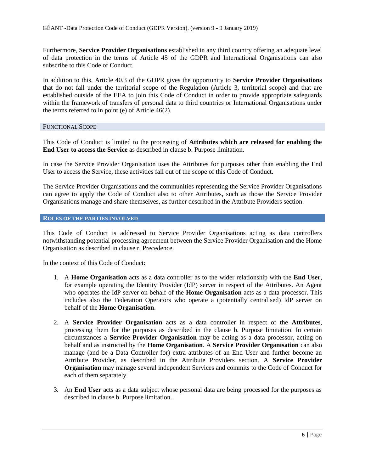Furthermore, **Service Provider Organisations** established in any third country offering an adequate level of data protection in the terms of Article 45 of the GDPR and International Organisations can also subscribe to this Code of Conduct.

In addition to this, Article 40.3 of the GDPR gives the opportunity to **Service Provider Organisations**  that do not fall under the territorial scope of the Regulation (Article 3, territorial scope) and that are established outside of the EEA to join this Code of Conduct in order to provide appropriate safeguards within the framework of transfers of personal data to third countries or International Organisations under the terms referred to in point (e) of Article 46(2).

#### FUNCTIONAL SCOPE

This Code of Conduct is limited to the processing of **Attributes which are released for enabling the End User to access the Service** as described in clause b. Purpose limitation.

In case the Service Provider Organisation uses the Attributes for purposes other than enabling the End User to access the Service, these activities fall out of the scope of this Code of Conduct.

The Service Provider Organisations and the communities representing the Service Provider Organisations can agree to apply the Code of Conduct also to other Attributes, such as those the Service Provider Organisations manage and share themselves, as further described in the Attribute Providers section.

#### **ROLES OF THE PARTIES INVOLVED**

This Code of Conduct is addressed to Service Provider Organisations acting as data controllers notwithstanding potential processing agreement between the Service Provider Organisation and the Home Organisation as described in clause r. Precedence.

In the context of this Code of Conduct:

- 1. A **Home Organisation** acts as a data controller as to the wider relationship with the **End User**, for example operating the Identity Provider (IdP) server in respect of the Attributes. An Agent who operates the IdP server on behalf of the **Home Organisation** acts as a data processor. This includes also the Federation Operators who operate a (potentially centralised) IdP server on behalf of the **Home Organisation**.
- 2. A **Service Provider Organisation** acts as a data controller in respect of the **Attributes**, processing them for the purposes as described in the clause b. Purpose limitation. In certain circumstances a **Service Provider Organisation** may be acting as a data processor, acting on behalf and as instructed by the **Home Organisation**. A **Service Provider Organisation** can also manage (and be a Data Controller for) extra attributes of an End User and further become an Attribute Provider, as described in the Attribute Providers section. A **Service Provider Organisation** may manage several independent Services and commits to the Code of Conduct for each of them separately.
- 3. An **End User** acts as a data subject whose personal data are being processed for the purposes as described in clause b. Purpose limitation.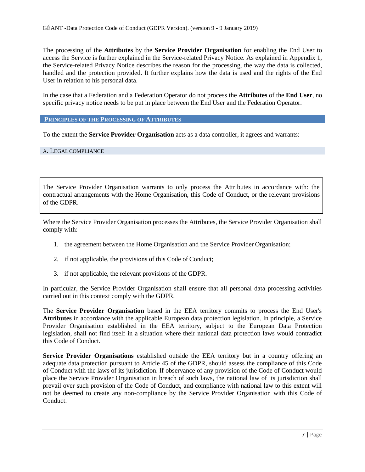The processing of the **Attributes** by the **Service Provider Organisation** for enabling the End User to access the Service is further explained in the Service-related Privacy Notice. As explained in Appendix 1, the Service-related Privacy Notice describes the reason for the processing, the way the data is collected, handled and the protection provided. It further explains how the data is used and the rights of the End User in relation to his personal data.

In the case that a Federation and a Federation Operator do not process the **Attributes** of the **End User**, no specific privacy notice needs to be put in place between the End User and the Federation Operator.

**PRINCIPLES OF THE PROCESSING OF ATTRIBUTES**

To the extent the **Service Provider Organisation** acts as a data controller, it agrees and warrants:

#### A. LEGALCOMPLIANCE

The Service Provider Organisation warrants to only process the Attributes in accordance with: the contractual arrangements with the Home Organisation, this Code of Conduct, or the relevant provisions of the GDPR.

Where the Service Provider Organisation processes the Attributes, the Service Provider Organisation shall comply with:

- 1. the agreement between the Home Organisation and the Service Provider Organisation;
- 2. if not applicable, the provisions of this Code of Conduct;
- 3. if not applicable, the relevant provisions of the GDPR.

In particular, the Service Provider Organisation shall ensure that all personal data processing activities carried out in this context comply with the GDPR.

The **Service Provider Organisation** based in the EEA territory commits to process the End User's **Attributes** in accordance with the applicable European data protection legislation. In principle, a Service Provider Organisation established in the EEA territory, subject to the European Data Protection legislation, shall not find itself in a situation where their national data protection laws would contradict this Code of Conduct.

**Service Provider Organisations** established outside the EEA territory but in a country offering an adequate data protection pursuant to Article 45 of the GDPR, should assess the compliance of this Code of Conduct with the laws of its jurisdiction. If observance of any provision of the Code of Conduct would place the Service Provider Organisation in breach of such laws, the national law of its jurisdiction shall prevail over such provision of the Code of Conduct, and compliance with national law to this extent will not be deemed to create any non-compliance by the Service Provider Organisation with this Code of Conduct.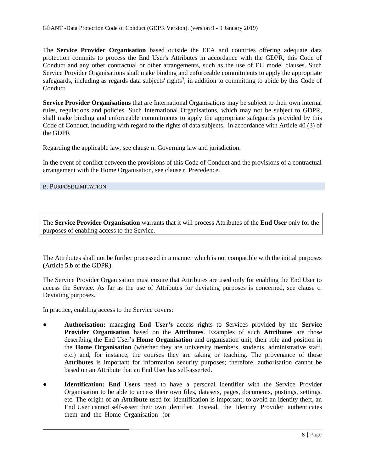The **Service Provider Organisation** based outside the EEA and countries offering adequate data protection commits to process the End User's Attributes in accordance with the GDPR, this Code of Conduct and any other contractual or other arrangements, such as the use of EU model clauses. Such Service Provider Organisations shall make binding and enforceable commitments to apply the appropriate safeguards, including as regards data subjects' rights<sup>3</sup>, in addition to committing to abide by this Code of Conduct.

**Service Provider Organisations** that are International Organisations may be subject to their own internal rules, regulations and policies. Such International Organisations, which may not be subject to GDPR, shall make binding and enforceable commitments to apply the appropriate safeguards provided by this Code of Conduct, including with regard to the rights of data subjects, in accordance with Article 40 (3) of the GDPR

Regarding the applicable law, see clause n. Governing law and jurisdiction.

In the event of conflict between the provisions of this Code of Conduct and the provisions of a contractual arrangement with the Home Organisation, see clause r. Precedence.

#### B. PURPOSELIMITATION

The **Service Provider Organisation** warrants that it will process Attributes of the **End User** only for the purposes of enabling access to the Service.

The Attributes shall not be further processed in a manner which is not compatible with the initial purposes (Article 5.b of the GDPR).

The Service Provider Organisation must ensure that Attributes are used only for enabling the End User to access the Service. As far as the use of Attributes for deviating purposes is concerned, see clause c. Deviating purposes.

In practice, enabling access to the Service covers:

- **Authorisation:** managing **End User's** access rights to Services provided by the **Service Provider Organisation** based on the **Attributes**. Examples of such **Attributes** are those describing the End User's **Home Organisation** and organisation unit, their role and position in the **Home Organisation** (whether they are university members, students, administrative staff, etc.) and, for instance, the courses they are taking or teaching. The provenance of those **Attributes** is important for information security purposes; therefore, authorisation cannot be based on an Attribute that an End User has self-asserted.
- **Identification: End Users** need to have a personal identifier with the Service Provider Organisation to be able to access their own files, datasets, pages, documents, postings, settings, etc. The origin of an **Attribute** used for identification is important; to avoid an identity theft, an End User cannot self-assert their own identifier. Instead, the Identity Provider authenticates them and the Home Organisation (or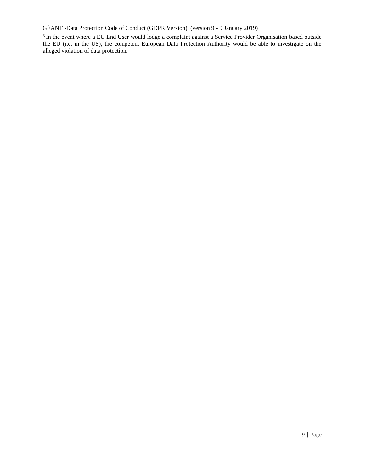GÉANT -Data Protection Code of Conduct (GDPR Version). (version 9 - 9 January 2019)

<sup>3</sup> In the event where a EU End User would lodge a complaint against a Service Provider Organisation based outside the EU (i.e. in the US), the competent European Data Protection Authority would be able to investigate on the alleged violation of data protection.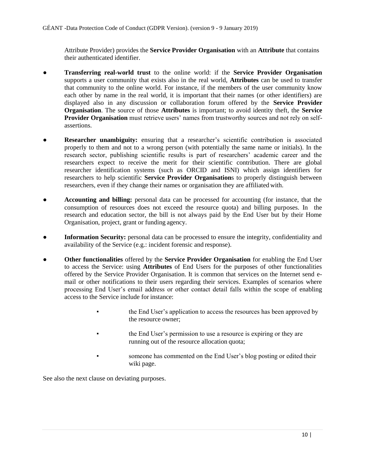Attribute Provider) provides the **Service Provider Organisation** with an **Attribute** that contains their authenticated identifier.

- **Transferring real-world trust** to the online world: if the **Service Provider Organisation**  supports a user community that exists also in the real world, **Attributes** can be used to transfer that community to the online world. For instance, if the members of the user community know each other by name in the real world, it is important that their names (or other identifiers) are displayed also in any discussion or collaboration forum offered by the **Service Provider Organisation**. The source of those **Attributes** is important; to avoid identity theft, the **Service Provider Organisation** must retrieve users' names from trustworthy sources and not rely on selfassertions.
- **Researcher unambiguity:** ensuring that a researcher's scientific contribution is associated properly to them and not to a wrong person (with potentially the same name or initials). In the research sector, publishing scientific results is part of researchers' academic career and the researchers expect to receive the merit for their scientific contribution. There are global researcher identification systems (such as ORCID and ISNI) which assign identifiers for researchers to help scientific **Service Provider Organisation**s to properly distinguish between researchers, even if they change their names or organisation they are affiliated with.
- **Accounting and billing:** personal data can be processed for accounting (for instance, that the consumption of resources does not exceed the resource quota) and billing purposes. In the research and education sector, the bill is not always paid by the End User but by their Home Organisation, project, grant or funding agency.
- **Information Security:** personal data can be processed to ensure the integrity, confidentiality and availability of the Service (e.g.: incident forensic and response).
- **Other functionalities** offered by the **Service Provider Organisation** for enabling the End User to access the Service: using **Attributes** of End Users for the purposes of other functionalities offered by the Service Provider Organisation. It is common that services on the Internet send email or other notifications to their users regarding their services. Examples of scenarios where processing End User's email address or other contact detail falls within the scope of enabling access to the Service include for instance:
	- the End User's application to access the resources has been approved by the resource owner;
	- the End User's permission to use a resource is expiring or they are running out of the resource allocation quota;
	- someone has commented on the End User's blog posting or edited their wiki page.

See also the next clause on deviating purposes.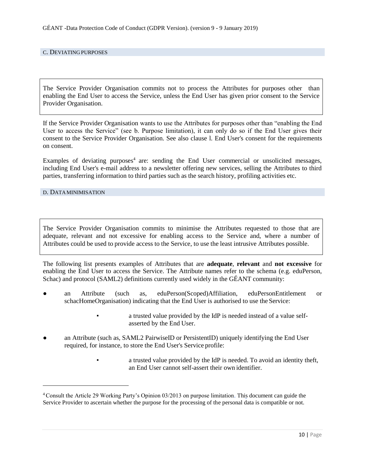#### C. DEVIATING PURPOSES

The Service Provider Organisation commits not to process the Attributes for purposes other than enabling the End User to access the Service, unless the End User has given prior consent to the Service Provider Organisation.

If the Service Provider Organisation wants to use the Attributes for purposes other than "enabling the End User to access the Service" (see b. Purpose limitation), it can only do so if the End User gives their consent to the Service Provider Organisation. See also clause l. End User's consent for the requirements on consent.

Examples of deviating purposes<sup>4</sup> are: sending the End User commercial or unsolicited messages, including End User's e-mail address to a newsletter offering new services, selling the Attributes to third parties, transferring information to third parties such as the search history, profiling activities etc.

#### D. DATAMINIMISATION

The Service Provider Organisation commits to minimise the Attributes requested to those that are adequate, relevant and not excessive for enabling access to the Service and, where a number of Attributes could be used to provide access to the Service, to use the least intrusive Attributes possible.

The following list presents examples of Attributes that are **adequate**, **relevant** and **not excessive** for enabling the End User to access the Service. The Attribute names refer to the schema (e.g. eduPerson, Schac) and protocol (SAML2) definitions currently used widely in the GÉANT community:

- an Attribute (such as, eduPerson(Scoped)Affiliation, eduPersonEntitlement or schacHomeOrganisation) indicating that the End User is authorised to use the Service:
	- a trusted value provided by the IdP is needed instead of a value selfasserted by the End User.
- an Attribute (such as, SAML2 PairwiseID or PersistentID) uniquely identifying the End User required, for instance, to store the End User's Service profile:
	- a trusted value provided by the IdP is needed. To avoid an identity theft, an End User cannot self-assert their own identifier.

<sup>4</sup>Consult the Article 29 Working Party's Opinion 03/2013 on purpose limitation. This document can guide the Service Provider to ascertain whether the purpose for the processing of the personal data is compatible or not.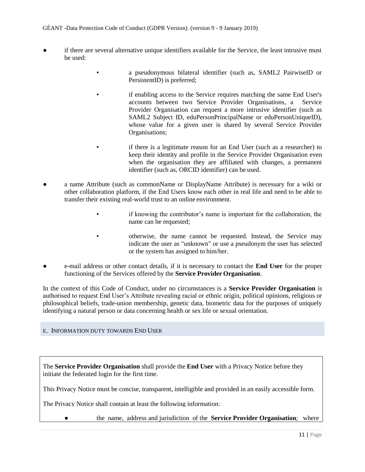- if there are several alternative unique identifiers available for the Service, the least intrusive must be used:
	- a pseudonymous bilateral identifier (such as, SAML2 PairwiseID or PersistentID) is preferred:
	- if enabling access to the Service requires matching the same End User's accounts between two Service Provider Organisations, a Service Provider Organisation can request a more intrusive identifier (such as SAML2 Subject ID, eduPersonPrincipalName or eduPersonUniqueID), whose value for a given user is shared by several Service Provider Organisations;
	- if there is a legitimate reason for an End User (such as a researcher) to keep their identity and profile in the Service Provider Organisation even when the organisation they are affiliated with changes, a permanent identifier (such as, ORCID identifier) can be used.
- a name Attribute (such as commonName or DisplayName Attribute) is necessary for a wiki or other collaboration platform, if the End Users know each other in real life and need to be able to transfer their existing real-world trust to an online environment.
	- if knowing the contributor's name is important for the collaboration, the name can be requested;
	- otherwise, the name cannot be requested. Instead, the Service may indicate the user as "unknown" or use a pseudonym the user has selected or the system has assigned to him/her.
- e-mail address or other contact details, if it is necessary to contact the **End User** for the proper functioning of the Services offered by the **Service Provider Organisation**.

In the context of this Code of Conduct, under no circumstances is a **Service Provider Organisation** is authorised to request End User's Attribute revealing racial or ethnic origin, political opinions, religious or philosophical beliefs, trade-union membership, genetic data, biometric data for the purposes of uniquely identifying a natural person or data concerning health or sex life or sexual orientation.

# E. INFORMATION DUTY TOWARDS END USER

The **Service Provider Organisation** shall provide the **End User** with a Privacy Notice before they initiate the federated login for the first time.

This Privacy Notice must be concise, transparent, intelligible and provided in an easily accessible form.

The Privacy Notice shall contain at least the following information:

● the name, address and jurisdiction of the **Service Provider Organisation**; where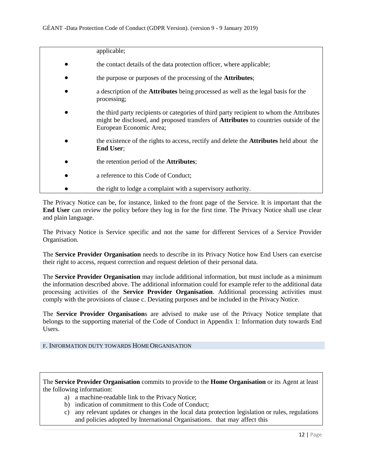| applicable;                                                                                                                                                                                                        |
|--------------------------------------------------------------------------------------------------------------------------------------------------------------------------------------------------------------------|
| the contact details of the data protection officer, where applicable;                                                                                                                                              |
| the purpose or purposes of the processing of the <b>Attributes</b> ;                                                                                                                                               |
| a description of the Attributes being processed as well as the legal basis for the<br>processing;                                                                                                                  |
| the third party recipients or categories of third party recipient to whom the Attributes<br>might be disclosed, and proposed transfers of <b>Attributes</b> to countries outside of the<br>European Economic Area; |
| the existence of the rights to access, rectify and delete the <b>Attributes</b> held about the<br><b>End User</b> ;                                                                                                |
| the retention period of the <b>Attributes</b> ;                                                                                                                                                                    |
| a reference to this Code of Conduct;                                                                                                                                                                               |
| the right to lodge a complaint with a supervisory authority.                                                                                                                                                       |

The Privacy Notice can be, for instance, linked to the front page of the Service. It is important that the **End User** can review the policy before they log in for the first time. The Privacy Notice shall use clear and plain language.

The Privacy Notice is Service specific and not the same for different Services of a Service Provider Organisation.

The **Service Provider Organisation** needs to describe in its Privacy Notice how End Users can exercise their right to access, request correction and request deletion of their personal data.

The **Service Provider Organisation** may include additional information, but must include as a minimum the information described above. The additional information could for example refer to the additional data processing activities of the **Service Provider Organisation**. Additional processing activities must comply with the provisions of clause c. Deviating purposes and be included in the Privacy Notice.

The **Service Provider Organisation**s are advised to make use of the Privacy Notice template that belongs to the supporting material of the Code of Conduct in Appendix 1: Information duty towards End **Users** 

# F. INFORMATION DUTY TOWARDS HOMEORGANISATION

The **Service Provider Organisation** commits to provide to the **Home Organisation** or its Agent at least the following information:

- a) a machine-readable link to the Privacy Notice;
- b) indication of commitment to this Code of Conduct;
- c) any relevant updates or changes in the local data protection legislation or rules, regulations and policies adopted by International Organisations. that may affect this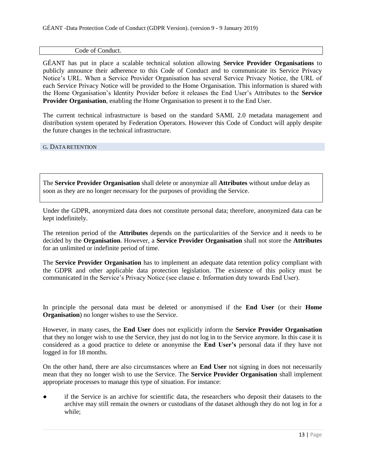#### Code of Conduct.

GÉANT has put in place a scalable technical solution allowing **Service Provider Organisations** to publicly announce their adherence to this Code of Conduct and to communicate its Service Privacy Notice's URL. When a Service Provider Organisation has several Service Privacy Notice, the URL of each Service Privacy Notice will be provided to the Home Organisation. This information is shared with the Home Organisation's Identity Provider before it releases the End User's Attributes to the **Service Provider Organisation**, enabling the Home Organisation to present it to the End User.

The current technical infrastructure is based on the standard SAML 2.0 metadata management and distribution system operated by Federation Operators. However this Code of Conduct will apply despite the future changes in the technical infrastructure.

G. DATA RETENTION

The **Service Provider Organisation** shall delete or anonymize all **Attributes** without undue delay as soon as they are no longer necessary for the purposes of providing the Service.

Under the GDPR, anonymized data does not constitute personal data; therefore, anonymized data can be kept indefinitely.

The retention period of the **Attributes** depends on the particularities of the Service and it needs to be decided by the **Organisation**. However, a **Service Provider Organisation** shall not store the **Attributes**  for an unlimited or indefinite period of time.

The **Service Provider Organisation** has to implement an adequate data retention policy compliant with the GDPR and other applicable data protection legislation. The existence of this policy must be communicated in the Service's Privacy Notice (see clause e. Information duty towards End User).

In principle the personal data must be deleted or anonymised if the **End User** (or their **Home Organisation**) no longer wishes to use the Service.

However, in many cases, the **End User** does not explicitly inform the **Service Provider Organisation**  that they no longer wish to use the Service, they just do not log in to the Service anymore. In this case it is considered as a good practice to delete or anonymise the **End User's** personal data if they have not logged in for 18 months.

On the other hand, there are also circumstances where an **End User** not signing in does not necessarily mean that they no longer wish to use the Service. The **Service Provider Organisation** shall implement appropriate processes to manage this type of situation. For instance:

if the Service is an archive for scientific data, the researchers who deposit their datasets to the archive may still remain the owners or custodians of the dataset although they do not log in for a while;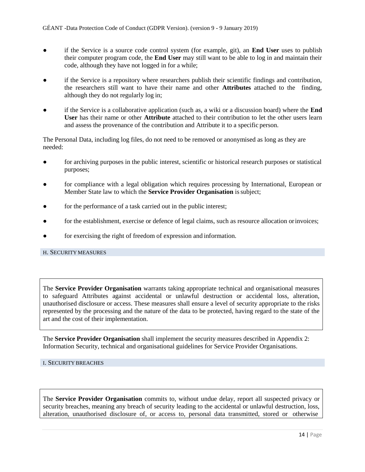- if the Service is a source code control system (for example, git), an **End User** uses to publish their computer program code, the **End User** may still want to be able to log in and maintain their code, although they have not logged in for a while;
- if the Service is a repository where researchers publish their scientific findings and contribution, the researchers still want to have their name and other **Attributes** attached to the finding, although they do not regularly log in;
- if the Service is a collaborative application (such as, a wiki or a discussion board) where the **End User** has their name or other **Attribute** attached to their contribution to let the other users learn and assess the provenance of the contribution and Attribute it to a specific person.

The Personal Data, including log files, do not need to be removed or anonymised as long as they are needed:

- for archiving purposes in the public interest, scientific or historical research purposes or statistical purposes;
- for compliance with a legal obligation which requires processing by International, European or Member State law to which the **Service Provider Organisation** issubject;
- for the performance of a task carried out in the public interest;
- for the establishment, exercise or defence of legal claims, such as resource allocation or invoices;
- for exercising the right of freedom of expression and information.

#### H. SECURITY MEASURES

The **Service Provider Organisation** warrants taking appropriate technical and organisational measures to safeguard Attributes against accidental or unlawful destruction or accidental loss, alteration, unauthorised disclosure or access. These measures shall ensure a level of security appropriate to the risks represented by the processing and the nature of the data to be protected, having regard to the state of the art and the cost of their implementation.

The **Service Provider Organisation** shall implement the security measures described in Appendix 2: Information Security, technical and organisational guidelines for Service Provider Organisations.

#### I. SECURITY BREACHES

The **Service Provider Organisation** commits to, without undue delay, report all suspected privacy or security breaches, meaning any breach of security leading to the accidental or unlawful destruction, loss, alteration, unauthorised disclosure of, or access to, personal data transmitted, stored or otherwise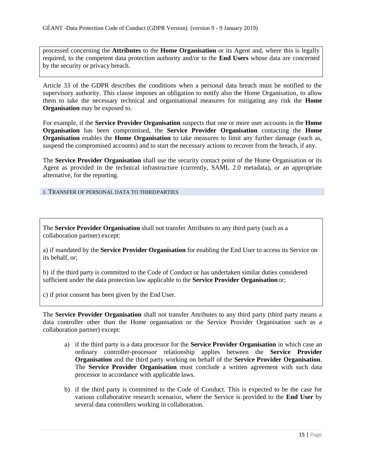processed concerning the **Attributes** to the **Home Organisation** or its Agent and, where this is legally required, to the competent data protection authority and/or to the **End Users** whose data are concerned by the security or privacy breach.

Article 33 of the GDPR describes the conditions when a personal data breach must be notified to the supervisory authority. This clause imposes an obligation to notify also the Home Organisation, to allow them to take the necessary technical and organisational measures for mitigating any risk the **Home Organisation** may be exposed to.

For example, if the **Service Provider Organisation** suspects that one or more user accounts in the **Home Organisation** has been compromised, the **Service Provider Organisation** contacting the **Home Organisation** enables the **Home Organisation** to take measures to limit any further damage (such as, suspend the compromised accounts) and to start the necessary actions to recover from the breach, if any.

The **Service Provider Organisation** shall use the security contact point of the Home Organisation or its Agent as provided in the technical infrastructure (currently, SAML 2.0 metadata), or an appropriate alternative, for the reporting.

J. TRANSFER OF PERSONAL DATA TO THIRDPARTIES

The **Service Provider Organisation** shall not transfer Attributes to any third party (such as a collaboration partner) except:

a) if mandated by the **Service Provider Organisation** for enabling the End User to access its Service on its behalf, or;

b) if the third party is committed to the Code of Conduct or has undertaken similar duties considered sufficient under the data protection law applicable to the **Service Provider Organisation** or;

c) if prior consent has been given by the End User.

The **Service Provider Organisation** shall not transfer Attributes to any third party (third party means a data controller other than the Home organisation or the Service Provider Organisation such as a collaboration partner) except:

- a) if the third party is a data processor for the **Service Provider Organisation** in which case an ordinary controller-processor relationship applies between the **Service Provider Organisation** and the third party working on behalf of the **Service Provider Organisation**. The **Service Provider Organisation** must conclude a written agreement with such data processor in accordance with applicable laws.
- b) if the third party is committed to the Code of Conduct. This is expected to be the case for various collaborative research scenarios, where the Service is provided to the **End User** by several data controllers working in collaboration.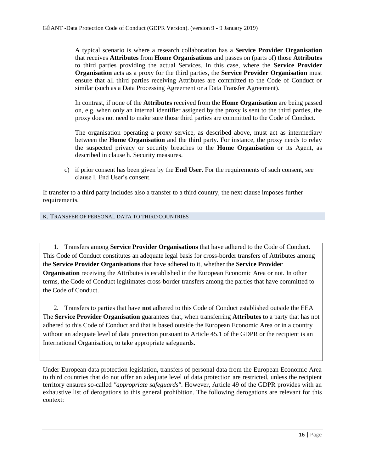A typical scenario is where a research collaboration has a **Service Provider Organisation**  that receives **Attributes** from **Home Organisations** and passes on (parts of) those **Attributes**  to third parties providing the actual Services. In this case, where the **Service Provider Organisation** acts as a proxy for the third parties, the **Service Provider Organisation** must ensure that all third parties receiving Attributes are committed to the Code of Conduct or similar (such as a Data Processing Agreement or a Data Transfer Agreement).

In contrast, if none of the **Attributes** received from the **Home Organisation** are being passed on, e.g. when only an internal identifier assigned by the proxy is sent to the third parties, the proxy does not need to make sure those third parties are committed to the Code of Conduct.

The organisation operating a proxy service, as described above, must act as intermediary between the **Home Organisation** and the third party. For instance, the proxy needs to relay the suspected privacy or security breaches to the **Home Organisation** or its Agent, as described in clause h. Security measures.

c) if prior consent has been given by the **End User.** For the requirements of such consent, see clause l. End User's consent.

If transfer to a third party includes also a transfer to a third country, the next clause imposes further requirements.

#### K. TRANSFER OF PERSONAL DATA TO THIRD COUNTRIES

1. Transfers among **Service Provider Organisations** that have adhered to the Code of Conduct. This Code of Conduct constitutes an adequate legal basis for cross-border transfers of Attributes among the **Service Provider Organisations** that have adhered to it, whether the **Service Provider Organisation** receiving the Attributes is established in the European Economic Area or not. In other terms, the Code of Conduct legitimates cross-border transfers among the parties that have committed to the Code of Conduct.

2. Transfers to parties that have **not** adhered to this Code of Conduct established outside the EEA The **Service Provider Organisation** guarantees that, when transferring **Attributes** to a party that has not adhered to this Code of Conduct and that is based outside the European Economic Area or in a country without an adequate level of data protection pursuant to Article 45.1 of the GDPR or the recipient is an International Organisation, to take appropriate safeguards.

Under European data protection legislation, transfers of personal data from the European Economic Area to third countries that do not offer an adequate level of data protection are restricted, unless the recipient territory ensures so-called *"appropriate safeguards"*. However, Article 49 of the GDPR provides with an exhaustive list of derogations to this general prohibition. The following derogations are relevant for this context: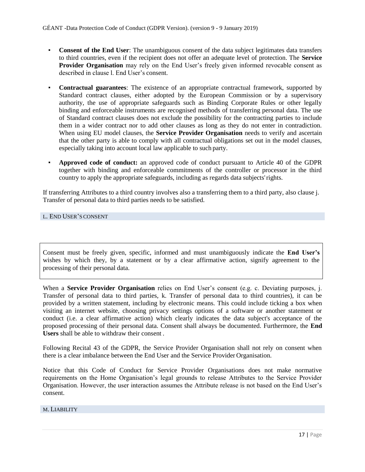- **Consent of the End User:** The unambiguous consent of the data subject legitimates data transfers to third countries, even if the recipient does not offer an adequate level of protection. The **Service Provider Organisation** may rely on the End User's freely given informed revocable consent as described in clause l. End User's consent.
- **Contractual guarantees**: The existence of an appropriate contractual framework, supported by Standard contract clauses, either adopted by the European Commission or by a supervisory authority, the use of appropriate safeguards such as Binding Corporate Rules or other legally binding and enforceable instruments are recognised methods of transferring personal data. The use of Standard contract clauses does not exclude the possibility for the contracting parties to include them in a wider contract nor to add other clauses as long as they do not enter in contradiction. When using EU model clauses, the **Service Provider Organisation** needs to verify and ascertain that the other party is able to comply with all contractual obligations set out in the model clauses, especially taking into account local law applicable to such party.
- Approved code of conduct: an approved code of conduct pursuant to Article 40 of the GDPR together with binding and enforceable commitments of the controller or processor in the third country to apply the appropriate safeguards, including as regards data subjects'rights.

If transferring Attributes to a third country involves also a transferring them to a third party, also clause j. Transfer of personal data to third parties needs to be satisfied.

L. END USER'S CONSENT

Consent must be freely given, specific, informed and must unambiguously indicate the **End User's**  wishes by which they, by a statement or by a clear affirmative action, signify agreement to the processing of their personal data.

When a **Service Provider Organisation** relies on End User's consent (e.g. c. Deviating purposes, j. Transfer of personal data to third parties, k. Transfer of personal data to third countries), it can be provided by a written statement, including by electronic means. This could include ticking a box when visiting an internet website, choosing privacy settings options of a software or another statement or conduct (i.e. a clear affirmative action) which clearly indicates the data subject's acceptance of the proposed processing of their personal data. Consent shall always be documented. Furthermore, the **End Users** shall be able to withdraw their consent .

Following Recital 43 of the GDPR, the Service Provider Organisation shall not rely on consent when there is a clear imbalance between the End User and the Service Provider Organisation.

Notice that this Code of Conduct for Service Provider Organisations does not make normative requirements on the Home Organisation's legal grounds to release Attributes to the Service Provider Organisation. However, the user interaction assumes the Attribute release is not based on the End User's consent.

### M. LIABILITY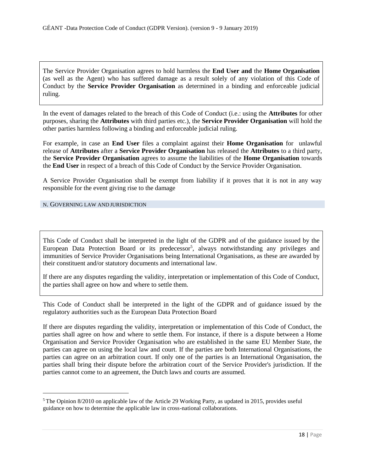The Service Provider Organisation agrees to hold harmless the **End User and** the **Home Organisation**  (as well as the Agent) who has suffered damage as a result solely of any violation of this Code of Conduct by the **Service Provider Organisation** as determined in a binding and enforceable judicial ruling.

In the event of damages related to the breach of this Code of Conduct (i.e.: using the **Attributes** for other purposes, sharing the **Attributes** with third parties etc.), the **Service Provider Organisation** will hold the other parties harmless following a binding and enforceable judicial ruling.

For example, in case an **End User** files a complaint against their **Home Organisation** for unlawful release of **Attributes** after a **Service Provider Organisation** has released the **Attributes** to a third party, the **Service Provider Organisation** agrees to assume the liabilities of the **Home Organisation** towards the **End User** in respect of a breach of this Code of Conduct by the Service Provider Organisation.

A Service Provider Organisation shall be exempt from liability if it proves that it is not in any way responsible for the event giving rise to the damage

#### N. GOVERNING LAW AND JURISDICTION

This Code of Conduct shall be interpreted in the light of the GDPR and of the guidance issued by the European Data Protection Board or its predecessor<sup>5</sup>, always notwithstanding any privileges and immunities of Service Provider Organisations being International Organisations, as these are awarded by their constituent and/or statutory documents and international law.

If there are any disputes regarding the validity, interpretation or implementation of this Code of Conduct, the parties shall agree on how and where to settle them.

This Code of Conduct shall be interpreted in the light of the GDPR and of guidance issued by the regulatory authorities such as the European Data Protection Board

If there are disputes regarding the validity, interpretation or implementation of this Code of Conduct, the parties shall agree on how and where to settle them. For instance, if there is a dispute between a Home Organisation and Service Provider Organisation who are established in the same EU Member State, the parties can agree on using the local law and court. If the parties are both International Organisations, the parties can agree on an arbitration court. If only one of the parties is an International Organisation, the parties shall bring their dispute before the arbitration court of the Service Provider's jurisdiction. If the parties cannot come to an agreement, the Dutch laws and courts are assumed.

<sup>5</sup>The Opinion 8/2010 on applicable law of the Article 29 Working Party, as updated in 2015, provides useful guidance on how to determine the applicable law in cross-national collaborations.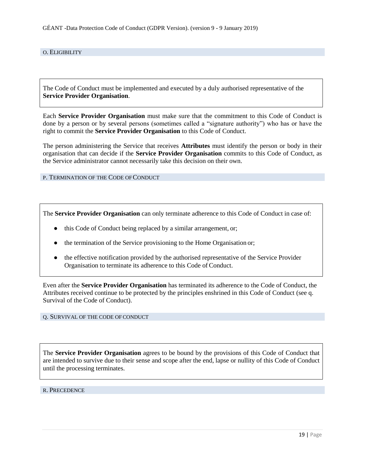#### O. ELIGIBILITY

The Code of Conduct must be implemented and executed by a duly authorised representative of the **Service Provider Organisation**.

Each **Service Provider Organisation** must make sure that the commitment to this Code of Conduct is done by a person or by several persons (sometimes called a "signature authority") who has or have the right to commit the **Service Provider Organisation** to this Code of Conduct.

The person administering the Service that receives **Attributes** must identify the person or body in their organisation that can decide if the **Service Provider Organisation** commits to this Code of Conduct, as the Service administrator cannot necessarily take this decision on their own.

P. TERMINATION OF THE CODE OF CONDUCT

The **Service Provider Organisation** can only terminate adherence to this Code of Conduct in case of:

- this Code of Conduct being replaced by a similar arrangement, or;
- the termination of the Service provisioning to the Home Organisation or;
- the effective notification provided by the authorised representative of the Service Provider Organisation to terminate its adherence to this Code of Conduct.

Even after the **Service Provider Organisation** has terminated its adherence to the Code of Conduct, the Attributes received continue to be protected by the principles enshrined in this Code of Conduct (see q. Survival of the Code of Conduct).

#### Q. SURVIVAL OF THE CODE OF CONDUCT

The **Service Provider Organisation** agrees to be bound by the provisions of this Code of Conduct that are intended to survive due to their sense and scope after the end, lapse or nullity of this Code of Conduct until the processing terminates.

#### R. PRECEDENCE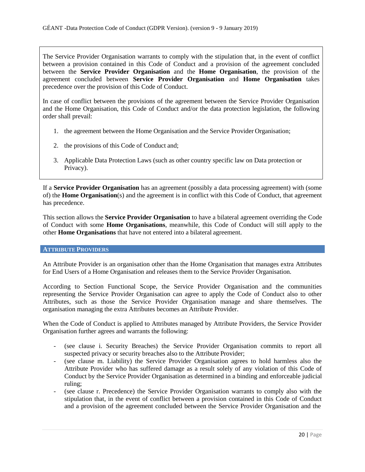The Service Provider Organisation warrants to comply with the stipulation that, in the event of conflict between a provision contained in this Code of Conduct and a provision of the agreement concluded between the **Service Provider Organisation** and the **Home Organisation**, the provision of the agreement concluded between **Service Provider Organisation** and **Home Organisation** takes precedence over the provision of this Code of Conduct.

In case of conflict between the provisions of the agreement between the Service Provider Organisation and the Home Organisation, this Code of Conduct and/or the data protection legislation, the following order shall prevail:

- 1. the agreement between the Home Organisation and the Service Provider Organisation;
- 2. the provisions of this Code of Conduct and;
- 3. Applicable Data Protection Laws (such as other country specific law on Data protection or Privacy).

If a **Service Provider Organisation** has an agreement (possibly a data processing agreement) with (some of) the **Home Organisation**(s) and the agreement is in conflict with this Code of Conduct, that agreement has precedence.

This section allows the **Service Provider Organisation** to have a bilateral agreement overriding the Code of Conduct with some **Home Organisations**, meanwhile, this Code of Conduct will still apply to the other **Home Organisations** that have not entered into a bilateral agreement.

#### **ATTRIBUTE PROVIDERS**

An Attribute Provider is an organisation other than the Home Organisation that manages extra Attributes for End Users of a Home Organisation and releases them to the Service Provider Organisation.

According to Section Functional Scope, the Service Provider Organisation and the communities representing the Service Provider Organisation can agree to apply the Code of Conduct also to other Attributes, such as those the Service Provider Organisation manage and share themselves. The organisation managing the extra Attributes becomes an Attribute Provider.

When the Code of Conduct is applied to Attributes managed by Attribute Providers, the Service Provider Organisation further agrees and warrants the following:

- (see clause i. Security Breaches) the Service Provider Organisation commits to report all suspected privacy or security breaches also to the Attribute Provider;
- (see clause m. Liability) the Service Provider Organisation agrees to hold harmless also the Attribute Provider who has suffered damage as a result solely of any violation of this Code of Conduct by the Service Provider Organisation as determined in a binding and enforceable judicial ruling;
- (see clause r. Precedence) the Service Provider Organisation warrants to comply also with the stipulation that, in the event of conflict between a provision contained in this Code of Conduct and a provision of the agreement concluded between the Service Provider Organisation and the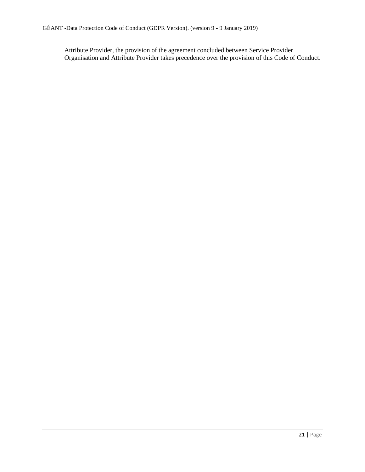Attribute Provider, the provision of the agreement concluded between Service Provider Organisation and Attribute Provider takes precedence over the provision of this Code of Conduct.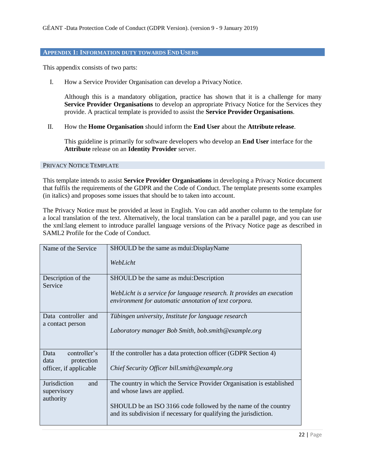#### **APPENDIX 1: INFORMATION DUTY TOWARDS END USERS**

This appendix consists of two parts:

I. How a Service Provider Organisation can develop a Privacy Notice.

Although this is a mandatory obligation, practice has shown that it is a challenge for many **Service Provider Organisations** to develop an appropriate Privacy Notice for the Services they provide. A practical template is provided to assist the **Service Provider Organisations**.

II. How the **Home Organisation** should inform the **End User** about the **Attribute release**.

This guideline is primarily for software developers who develop an **End User** interface for the **Attribute** release on an **Identity Provider** server.

#### PRIVACY NOTICE TEMPLATE

This template intends to assist **Service Provider Organisations** in developing a Privacy Notice document that fulfils the requirements of the GDPR and the Code of Conduct. The template presents some examples (in italics) and proposes some issues that should be to taken into account.

The Privacy Notice must be provided at least in English. You can add another column to the template for a local translation of the text. Alternatively, the local translation can be a parallel page, and you can use the xml:lang element to introduce parallel language versions of the Privacy Notice page as described in SAML2 Profile for the Code of Conduct.

| Name of the Service                                   | SHOULD be the same as mdui: DisplayName                                                                                             |
|-------------------------------------------------------|-------------------------------------------------------------------------------------------------------------------------------------|
|                                                       | WebLicht                                                                                                                            |
| Description of the<br>Service                         | SHOULD be the same as mdui: Description                                                                                             |
|                                                       | WebLicht is a service for language research. It provides an execution<br>environment for automatic annotation of text corpora.      |
| Data controller and                                   | Tübingen university, Institute for language research                                                                                |
|                                                       | Laboratory manager Bob Smith, bob.smith@example.org                                                                                 |
| controller's<br>Data                                  | If the controller has a data protection officer (GDPR Section 4)                                                                    |
| officer, if applicable                                | Chief Security Officer bill.smith@example.org                                                                                       |
| Jurisdiction<br>and                                   | The country in which the Service Provider Organisation is established                                                               |
| authority                                             |                                                                                                                                     |
|                                                       | SHOULD be an ISO 3166 code followed by the name of the country<br>and its subdivision if necessary for qualifying the jurisdiction. |
| a contact person<br>protection<br>data<br>supervisory | and whose laws are applied.                                                                                                         |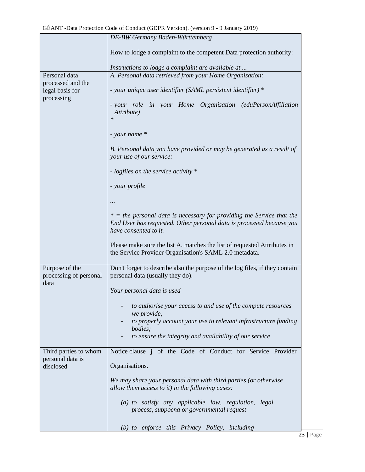|                                                    | DE-BW Germany Baden-Württemberg                                                                                                                                          |
|----------------------------------------------------|--------------------------------------------------------------------------------------------------------------------------------------------------------------------------|
|                                                    | How to lodge a complaint to the competent Data protection authority:                                                                                                     |
|                                                    | Instructions to lodge a complaint are available at                                                                                                                       |
| Personal data                                      | A. Personal data retrieved from your Home Organisation:                                                                                                                  |
| processed and the<br>legal basis for<br>processing | - your unique user identifier (SAML persistent identifier) *                                                                                                             |
|                                                    | - your role in your Home Organisation (eduPersonAffiliation<br>Attribute)<br>$\ast$                                                                                      |
|                                                    | - your name *                                                                                                                                                            |
|                                                    | B. Personal data you have provided or may be generated as a result of<br>your use of our service:                                                                        |
|                                                    | - logfiles on the service activity *                                                                                                                                     |
|                                                    | - your profile                                                                                                                                                           |
|                                                    |                                                                                                                                                                          |
|                                                    | $*$ = the personal data is necessary for providing the Service that the<br>End User has requested. Other personal data is processed because you<br>have consented to it. |
|                                                    | Please make sure the list A. matches the list of requested Attributes in<br>the Service Provider Organisation's SAML 2.0 metadata.                                       |
| Purpose of the<br>processing of personal<br>data   | Don't forget to describe also the purpose of the log files, if they contain<br>personal data (usually they do).                                                          |
|                                                    | Your personal data is used                                                                                                                                               |
|                                                    | to authorise your access to and use of the compute resources<br>we provide;                                                                                              |
|                                                    | to properly account your use to relevant infrastructure funding<br>bodies;                                                                                               |
|                                                    | to ensure the integrity and availability of our service                                                                                                                  |
| Third parties to whom<br>personal data is          | Notice clause <i>j</i> of the Code of Conduct for Service Provider                                                                                                       |
| disclosed                                          | Organisations.                                                                                                                                                           |
|                                                    | We may share your personal data with third parties (or otherwise<br>allow them access to it) in the following cases:                                                     |
|                                                    | (a) to satisfy any applicable law, regulation, legal<br>process, subpoena or governmental request                                                                        |
|                                                    | (b) to enforce this Privacy Policy, including                                                                                                                            |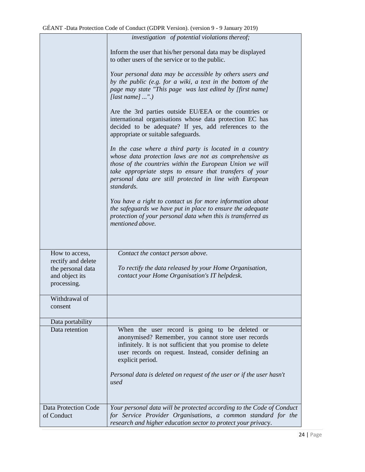|                                                                          | investigation of potential violations thereof;                                                                                                                                                                                                                                                                    |
|--------------------------------------------------------------------------|-------------------------------------------------------------------------------------------------------------------------------------------------------------------------------------------------------------------------------------------------------------------------------------------------------------------|
|                                                                          | Inform the user that his/her personal data may be displayed<br>to other users of the service or to the public.                                                                                                                                                                                                    |
|                                                                          | Your personal data may be accessible by others users and<br>by the public (e.g. for a wiki, a text in the bottom of the<br>page may state "This page was last edited by [first name]<br>[last name] ".)                                                                                                           |
|                                                                          | Are the 3rd parties outside EU/EEA or the countries or<br>international organisations whose data protection EC has<br>decided to be adequate? If yes, add references to the<br>appropriate or suitable safeguards.                                                                                                |
|                                                                          | In the case where a third party is located in a country<br>whose data protection laws are not as comprehensive as<br>those of the countries within the European Union we will<br>take appropriate steps to ensure that transfers of your<br>personal data are still protected in line with European<br>standards. |
|                                                                          | You have a right to contact us for more information about<br>the safeguards we have put in place to ensure the adequate<br>protection of your personal data when this is transferred as<br>mentioned above.                                                                                                       |
| How to access,                                                           | Contact the contact person above.                                                                                                                                                                                                                                                                                 |
| rectify and delete<br>the personal data<br>and object its<br>processing. | To rectify the data released by your Home Organisation,<br>contact your Home Organisation's IT helpdesk.                                                                                                                                                                                                          |
| Withdrawal of<br>consent                                                 |                                                                                                                                                                                                                                                                                                                   |
| Data portability                                                         |                                                                                                                                                                                                                                                                                                                   |
| Data retention                                                           | When the user record is going to be deleted or<br>anonymised? Remember, you cannot store user records<br>infinitely. It is not sufficient that you promise to delete<br>user records on request. Instead, consider defining an<br>explicit period.                                                                |
|                                                                          | Personal data is deleted on request of the user or if the user hasn't<br>used                                                                                                                                                                                                                                     |
| <b>Data Protection Code</b><br>of Conduct                                | Your personal data will be protected according to the Code of Conduct<br>for Service Provider Organisations, a common standard for the<br>research and higher education sector to protect your privacy.                                                                                                           |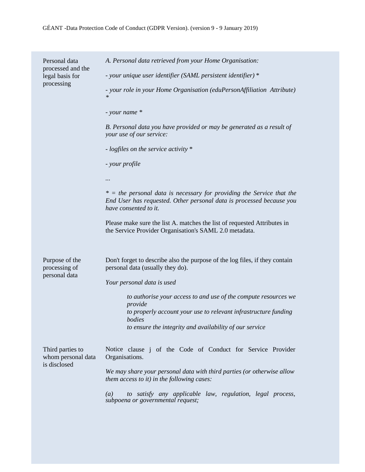| Personal data<br>processed and the<br>legal basis for<br>processing | A. Personal data retrieved from your Home Organisation:                                                                                                                  |
|---------------------------------------------------------------------|--------------------------------------------------------------------------------------------------------------------------------------------------------------------------|
|                                                                     | - your unique user identifier (SAML persistent identifier) *                                                                                                             |
|                                                                     | - your role in your Home Organisation (eduPersonAffiliation Attribute)<br>$\ast$                                                                                         |
|                                                                     | - your name *                                                                                                                                                            |
|                                                                     | B. Personal data you have provided or may be generated as a result of<br>your use of our service:                                                                        |
|                                                                     | - logfiles on the service activity *                                                                                                                                     |
|                                                                     | - your profile                                                                                                                                                           |
|                                                                     |                                                                                                                                                                          |
|                                                                     | $*$ = the personal data is necessary for providing the Service that the<br>End User has requested. Other personal data is processed because you<br>have consented to it. |
|                                                                     | Please make sure the list A. matches the list of requested Attributes in<br>the Service Provider Organisation's SAML 2.0 metadata.                                       |
| Purpose of the<br>processing of<br>personal data                    | Don't forget to describe also the purpose of the log files, if they contain<br>personal data (usually they do).                                                          |
|                                                                     | Your personal data is used                                                                                                                                               |
|                                                                     | to authorise your access to and use of the compute resources we                                                                                                          |
|                                                                     | provide<br>to properly account your use to relevant infrastructure funding                                                                                               |
|                                                                     | <i>bodies</i><br>to ensure the integrity and availability of our service                                                                                                 |
| Third parties to<br>whom personal data<br>is disclosed              | Notice clause j of the Code of Conduct for Service Provider<br>Organisations.                                                                                            |
|                                                                     | We may share your personal data with third parties (or otherwise allow<br>them access to it) in the following cases:                                                     |
|                                                                     | to satisfy any applicable law, regulation, legal process,<br>$\left(a\right)$<br>subpoena or governmental request;                                                       |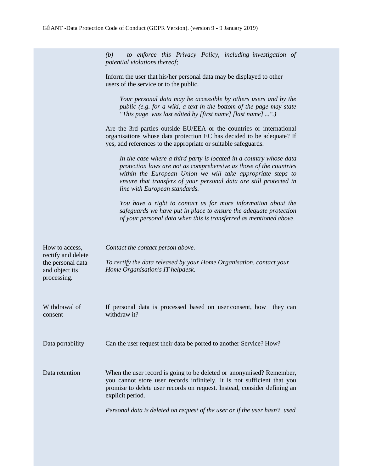*(b) to enforce this Privacy Policy, including investigation of potential violations thereof;*

Inform the user that his/her personal data may be displayed to other users of the service or to the public.

*Your personal data may be accessible by others users and by the public (e.g. for a wiki, a text in the bottom of the page may state "This page was last edited by [first name] [last name] ...".)*

Are the 3rd parties outside EU/EEA or the countries or international organisations whose data protection EC has decided to be adequate? If yes, add references to the appropriate or suitable safeguards.

*In the case where a third party is located in a country whose data protection laws are not as comprehensive as those of the countries within the European Union we will take appropriate steps to ensure that transfers of your personal data are still protected in line with European standards.*

*You have a right to contact us for more information about the safeguards we have put in place to ensure the adequate protection of your personal data when this is transferred as mentioned above.*

| How to access,<br>rectify and delete<br>the personal data<br>and object its<br>processing. | Contact the contact person above.<br>To rectify the data released by your Home Organisation, contact your<br>Home Organisation's IT helpdesk.                                                                                                   |
|--------------------------------------------------------------------------------------------|-------------------------------------------------------------------------------------------------------------------------------------------------------------------------------------------------------------------------------------------------|
| Withdrawal of<br>consent                                                                   | If personal data is processed based on user consent, how<br>they can<br>withdraw it?                                                                                                                                                            |
| Data portability                                                                           | Can the user request their data be ported to another Service? How?                                                                                                                                                                              |
| Data retention                                                                             | When the user record is going to be deleted or anonymised? Remember,<br>you cannot store user records infinitely. It is not sufficient that you<br>promise to delete user records on request. Instead, consider defining an<br>explicit period. |
|                                                                                            | Personal data is deleted on request of the user or if the user hasn't used                                                                                                                                                                      |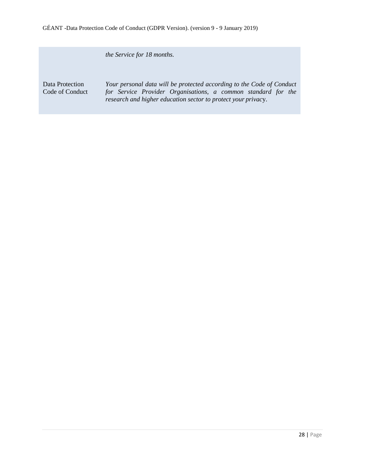*the Service for 18 months.*

Data Protection Code of Conduct

*Your personal data will be protected according to the Code of Conduct for Service Provider Organisations, a common standard for the research and higher education sector to protect your privac*y.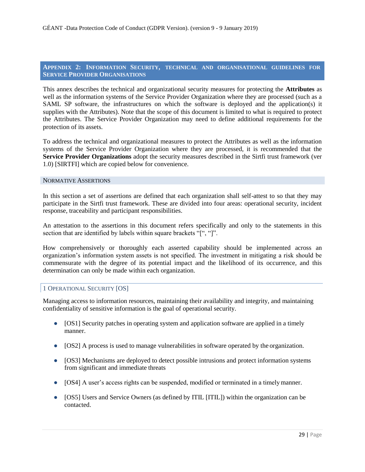## **APPENDIX 2: INFORMATION SECURITY, TECHNICAL AND ORGANISATIONAL GUIDELINES FOR SERVICE PROVIDER ORGANISATIONS**

This annex describes the technical and organizational security measures for protecting the **Attributes** as well as the information systems of the Service Provider Organization where they are processed (such as a SAML SP software, the infrastructures on which the software is deployed and the application(s) it supplies with the Attributes). Note that the scope of this document is limited to what is required to protect the Attributes. The Service Provider Organization may need to define additional requirements for the protection of its assets.

To address the technical and organizational measures to protect the Attributes as well as the information systems of the Service Provider Organization where they are processed, it is recommended that the **Service Provider Organizations** adopt the security measures described in the Sirtfi trust framework (ver 1.0) [SIRTFI] which are copied below for convenience.

#### NORMATIVE ASSERTIONS

In this section a set of assertions are defined that each organization shall self-attest to so that they may participate in the Sirtfi trust framework. These are divided into four areas: operational security, incident response, traceability and participant responsibilities.

An attestation to the assertions in this document refers specifically and only to the statements in this section that are identified by labels within square brackets "[", "]".

How comprehensively or thoroughly each asserted capability should be implemented across an organization's information system assets is not specified. The investment in mitigating a risk should be commensurate with the degree of its potential impact and the likelihood of its occurrence, and this determination can only be made within each organization.

# 1 OPERATIONAL SECURITY [OS]

Managing access to information resources, maintaining their availability and integrity, and maintaining confidentiality of sensitive information is the goal of operational security.

- [OS1] Security patches in operating system and application software are applied in a timely manner.
- [OS2] A process is used to manage vulnerabilities in software operated by the organization.
- [OS3] Mechanisms are deployed to detect possible intrusions and protect information systems from significant and immediate threats
- [OS4] A user's access rights can be suspended, modified or terminated in a timely manner.
- [OS5] Users and Service Owners (as defined by ITIL [ITIL]) within the organization can be contacted.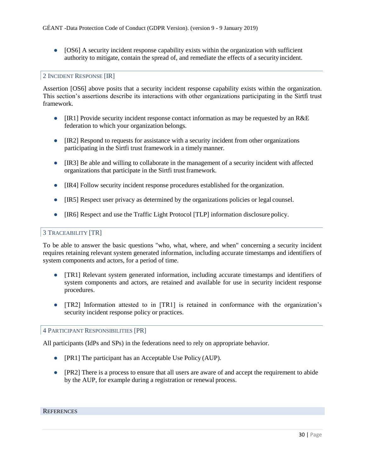• [OS6] A security incident response capability exists within the organization with sufficient authority to mitigate, contain the spread of, and remediate the effects of a securityincident.

## 2 INCIDENT RESPONSE [IR]

Assertion [OS6] above posits that a security incident response capability exists within the organization. This section's assertions describe its interactions with other organizations participating in the Sirtfi trust framework.

- [IR1] Provide security incident response contact information as may be requested by an R&E federation to which your organization belongs.
- [IR2] Respond to requests for assistance with a security incident from other organizations participating in the Sirtfi trust framework in a timelymanner.
- [IR3] Be able and willing to collaborate in the management of a security incident with affected organizations that participate in the Sirtfi trust framework.
- [IR4] Follow security incident response procedures established for the organization.
- [IR5] Respect user privacy as determined by the organizations policies or legal counsel.
- [IR6] Respect and use the Traffic Light Protocol [TLP] information disclosure policy.

#### 3 TRACEABILITY [TR]

To be able to answer the basic questions "who, what, where, and when" concerning a security incident requires retaining relevant system generated information, including accurate timestamps and identifiers of system components and actors, for a period of time.

- [TR1] Relevant system generated information, including accurate timestamps and identifiers of system components and actors, are retained and available for use in security incident response procedures.
- [TR2] Information attested to in [TR1] is retained in conformance with the organization's security incident response policy or practices.

#### 4 PARTICIPANT RESPONSIBILITIES [PR]

All participants (IdPs and SPs) in the federations need to rely on appropriate behavior.

- [PR1] The participant has an Acceptable Use Policy (AUP).
- [PR2] There is a process to ensure that all users are aware of and accept the requirement to abide by the AUP, for example during a registration or renewal process.

#### **REFERENCES**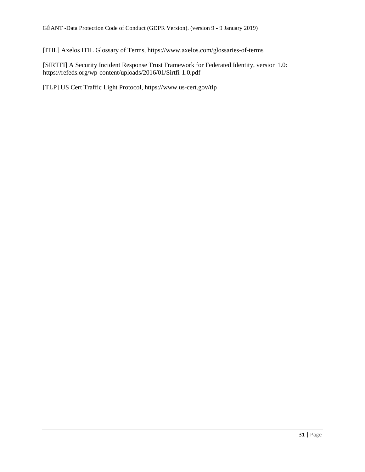[ITIL] Axelos ITIL Glossary of Terms, https://www.axelos.com/glossaries-of-terms

[SIRTFI] A Security Incident Response Trust Framework for Federated Identity, version 1.0: https://refeds.org/wp-content/uploads/2016/01/Sirtfi-1.0.pdf

[TLP] US Cert Traffic Light Protocol, https://www.us-cert.gov/tlp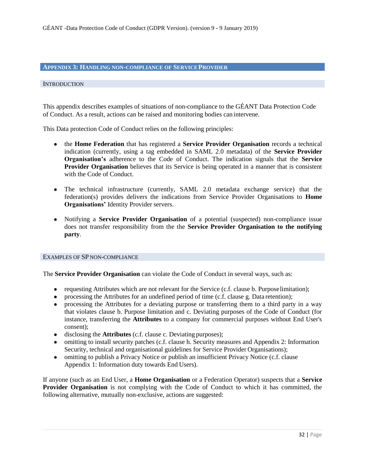## **APPENDIX 3: HANDLING NON-COMPLIANCE OF SERVICEPROVIDER**

#### **INTRODUCTION**

This appendix describes examples of situations of non-compliance to the GÉANT Data Protection Code of Conduct. As a result, actions can be raised and monitoring bodies can intervene.

This Data protection Code of Conduct relies on the following principles:

- the **Home Federation** that has registered a **Service Provider Organisation** records a technical indication (currently, using a tag embedded in SAML 2.0 metadata) of the **Service Provider Organisation's** adherence to the Code of Conduct. The indication signals that the **Service Provider Organisation** believes that its Service is being operated in a manner that is consistent with the Code of Conduct.
- The technical infrastructure (currently, SAML 2.0 metadata exchange service) that the federation(s) provides delivers the indications from Service Provider Organisations to **Home Organisations' Identity Provider servers.**
- Notifying a **Service Provider Organisation** of a potential (suspected) non-compliance issue does not transfer responsibility from the the **Service Provider Organisation to the notifying party**.

#### EXAMPLES OF SP NON-COMPLIANCE

The **Service Provider Organisation** can violate the Code of Conduct in several ways, such as:

- requesting Attributes which are not relevant for the Service (c.f. clause b. Purpose limitation);
- processing the Attributes for an undefined period of time (c.f. clause g. Data retention);
- processing the Attributes for a deviating purpose or transferring them to a third party in a way that violates clause b. Purpose limitation and c. Deviating purposes of the Code of Conduct (for instance, transferring the **Attributes** to a company for commercial purposes without End User's consent);
- disclosing the **Attributes** (c.f. clause c. Deviating purposes);
- omitting to install security patches (c.f. clause h. Security measures and Appendix 2: Information Security, technical and organisational guidelines for Service Provider Organisations);
- omitting to publish a Privacy Notice or publish an insufficient Privacy Notice (c.f. clause Appendix 1: Information duty towards End Users).

If anyone (such as an End User, a **Home Organisation** or a Federation Operator) suspects that a **Service Provider Organisation** is not complying with the Code of Conduct to which it has committed, the following alternative, mutually non-exclusive, actions are suggested: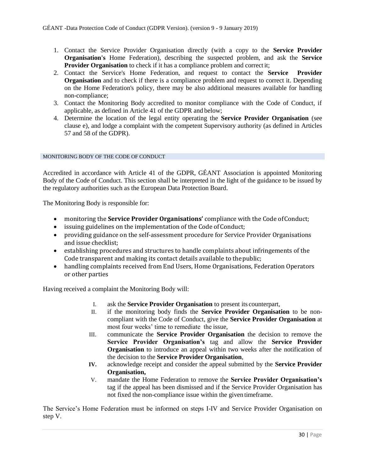- 1. Contact the Service Provider Organisation directly (with a copy to the **Service Provider Organisation's** Home Federation), describing the suspected problem, and ask the **Service Provider Organisation** to check if it has a compliance problem and correctit;
- 2. Contact the Service's Home Federation, and request to contact the **Service Provider Organisation** and to check if there is a compliance problem and request to correct it. Depending on the Home Federation's policy, there may be also additional measures available for handling non-compliance;
- 3. Contact the Monitoring Body accredited to monitor compliance with the Code of Conduct, if applicable, as defined in Article 41 of the GDPR and below;
- 4. Determine the location of the legal entity operating the **Service Provider Organisation** (see clause e), and lodge a complaint with the competent Supervisory authority (as defined in Articles 57 and 58 of the GDPR).

#### MONITORING BODY OF THE CODE OF CONDUCT

Accredited in accordance with Article 41 of the GDPR, GÉANT Association is appointed Monitoring Body of the Code of Conduct. This section shall be interpreted in the light of the guidance to be issued by the regulatory authorities such as the European Data Protection Board.

The Monitoring Body is responsible for:

- monitoring the **Service Provider Organisations'** compliance with the Code ofConduct;
- issuing guidelines on the implementation of the Code of Conduct;
- providing guidance on the self-assessment procedure for Service Provider Organisations and issue checklist;
- establishing procedures and structures to handle complaints about infringements of the Code transparent and making its contact details available to thepublic;
- handling complaints received from End Users, Home Organisations, Federation Operators or other parties

Having received a complaint the Monitoring Body will:

- I. ask the **Service Provider Organisation** to present its counterpart,
- II. if the monitoring body finds the **Service Provider Organisation** to be noncompliant with the Code of Conduct, give the **Service Provider Organisation** at most four weeks' time to remediate the issue,
- III. communicate the **Service Provider Organisation** the decision to remove the **Service Provider Organisation's** tag and allow the **Service Provider Organisation** to introduce an appeal within two weeks after the notification of the decision to the **Service Provider Organisation**,
- **IV.** acknowledge receipt and consider the appeal submitted by the **Service Provider Organisation,**
- V. mandate the Home Federation to remove the **Service Provider Organisation's**  tag if the appeal has been dismissed and if the Service Provider Organisation has not fixed the non-compliance issue within the given timeframe.

The Service's Home Federation must be informed on steps I-IV and Service Provider Organisation on step V.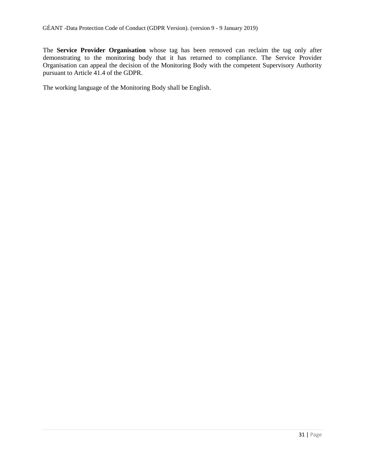The **Service Provider Organisation** whose tag has been removed can reclaim the tag only after demonstrating to the monitoring body that it has returned to compliance. The Service Provider Organisation can appeal the decision of the Monitoring Body with the competent Supervisory Authority pursuant to Article 41.4 of the GDPR.

The working language of the Monitoring Body shall be English.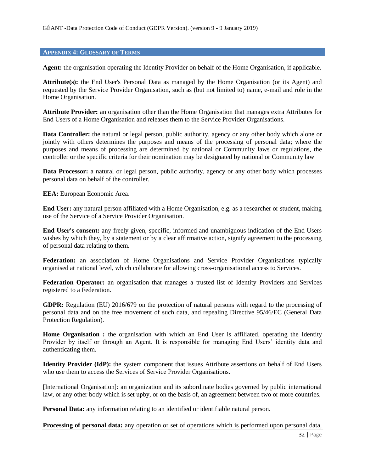#### **APPENDIX 4: GLOSSARY OFTERMS**

**Agent:** the organisation operating the Identity Provider on behalf of the Home Organisation, if applicable.

**Attribute(s):** the End User's Personal Data as managed by the Home Organisation (or its Agent) and requested by the Service Provider Organisation, such as (but not limited to) name, e-mail and role in the Home Organisation.

**Attribute Provider:** an organisation other than the Home Organisation that manages extra Attributes for End Users of a Home Organisation and releases them to the Service Provider Organisations.

Data Controller: the natural or legal person, public authority, agency or any other body which alone or jointly with others determines the purposes and means of the processing of personal data; where the purposes and means of processing are determined by national or Community laws or regulations, the controller or the specific criteria for their nomination may be designated by national or Community law

**Data Processor:** a natural or legal person, public authority, agency or any other body which processes personal data on behalf of the controller.

**EEA:** European Economic Area.

**End User:** any natural person affiliated with a Home Organisation, e.g. as a researcher or student, making use of the Service of a Service Provider Organisation.

**End User's consent:** any freely given, specific, informed and unambiguous indication of the End Users wishes by which they, by a statement or by a clear affirmative action, signify agreement to the processing of personal data relating to them.

**Federation:** an association of Home Organisations and Service Provider Organisations typically organised at national level, which collaborate for allowing cross-organisational access to Services.

**Federation Operator:** an organisation that manages a trusted list of Identity Providers and Services registered to a Federation.

**GDPR:** Regulation (EU) 2016/679 on the protection of natural persons with regard to the processing of personal data and on the free movement of such data, and repealing Directive 95/46/EC (General Data Protection Regulation).

Home Organisation : the organisation with which an End User is affiliated, operating the Identity Provider by itself or through an Agent. It is responsible for managing End Users' identity data and authenticating them.

**Identity Provider (IdP):** the system component that issues Attribute assertions on behalf of End Users who use them to access the Services of Service Provider Organisations.

[International Organisation]: an organization and its subordinate bodies governed by public international law, or any other body which is set upby, or on the basis of, an agreement between two or more countries.

**Personal Data:** any information relating to an identified or identifiable natural person.

**Processing of personal data:** any operation or set of operations which is performed upon personal data,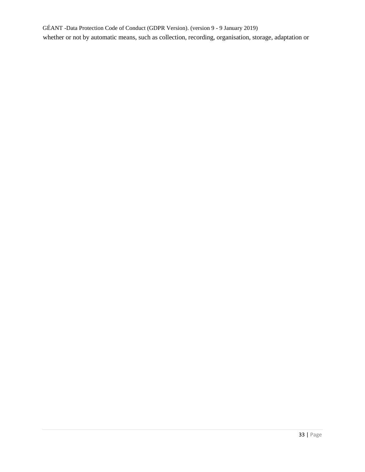GÉANT -Data Protection Code of Conduct (GDPR Version). (version 9 - 9 January 2019) whether or not by automatic means, such as collection, recording, organisation, storage, adaptation or